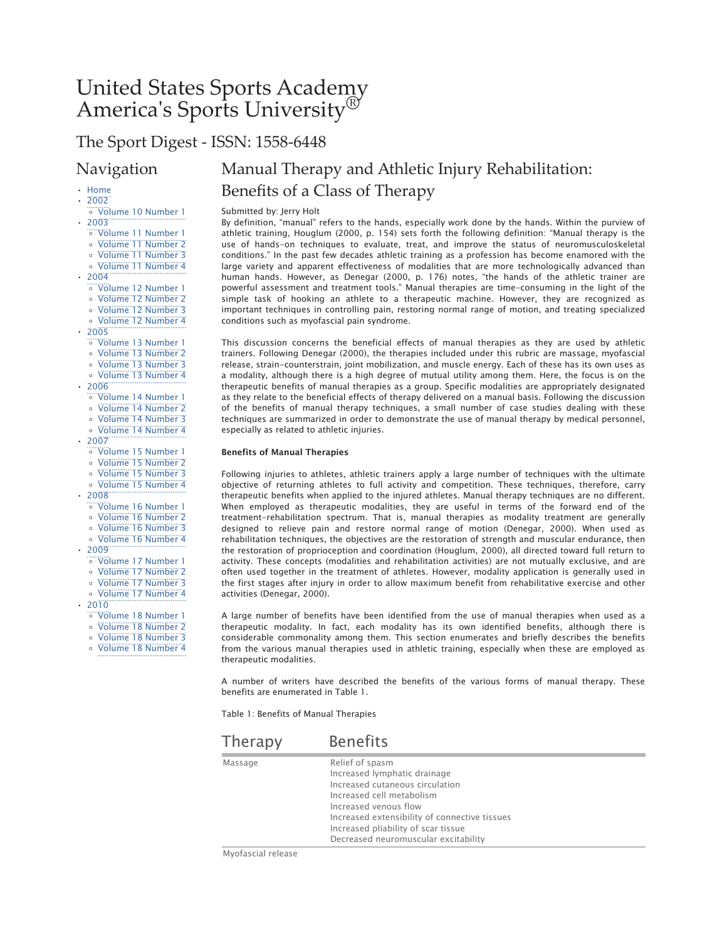# United States Sports Academy America's Sports University®

## The Sport Digest - ISSN: 1558-6448

### Navigation

### • Home

• 2002

◦ Volume 10 Number 1

- 2003 ◦ Volume 11 Number 1
	- Volume 11 Number 2
	- Volume 11 Number 3
	- Volume 11 Number 4
- 2004
	- Volume 12 Number 1
	- Volume 12 Number 2
	- Volume 12 Number 3
	- Volume 12 Number 4
- 2005
	- Volume 13 Number 1
	- Volume 13 Number 2
	- Volume 13 Number 3
	- Volume 13 Number 4
- 2006
	- Volume 14 Number 1
	- Volume 14 Number 2
	- Volume 14 Number 3
	- Volume 14 Number 4
- 2007
	- Volume 15 Number 1
	- Volume 15 Number 2
	- Volume 15 Number 3
	- Volume 15 Number 4
- 2008
	- Volume 16 Number 1
	- Volume 16 Number 2
	- Volume 16 Number 3
	- Volume 16 Number 4
- $-2009$ 
	- Volume 17 Number 1
	- Volume 17 Number 2
	- Volume 17 Number 3
- Volume 17 Number 4
- 2010
	- Volume 18 Number 1
	- Volume 18 Number 2
	- Volume 18 Number 3
	- Volume 18 Number 4

## Manual Therapy and Athletic Injury Rehabilitation: Benefits of a Class of Therapy

Submitted by: Jerry Holt

By definition, "manual" refers to the hands, especially work done by the hands. Within the purview of athletic training, Houglum (2000, p. 154) sets forth the following definition: "Manual therapy is the use of hands-on techniques to evaluate, treat, and improve the status of neuromusculoskeletal conditions." In the past few decades athletic training as a profession has become enamored with the large variety and apparent effectiveness of modalities that are more technologically advanced than human hands. However, as Denegar (2000, p. 176) notes, "the hands of the athletic trainer are powerful assessment and treatment tools." Manual therapies are time-consuming in the light of the simple task of hooking an athlete to a therapeutic machine. However, they are recognized as important techniques in controlling pain, restoring normal range of motion, and treating specialized conditions such as myofascial pain syndrome.

This discussion concerns the beneficial effects of manual therapies as they are used by athletic trainers. Following Denegar (2000), the therapies included under this rubric are massage, myofascial release, strain-counterstrain, joint mobilization, and muscle energy. Each of these has its own uses as a modality, although there is a high degree of mutual utility among them. Here, the focus is on the therapeutic benefits of manual therapies as a group. Specific modalities are appropriately designated as they relate to the beneficial effects of therapy delivered on a manual basis. Following the discussion of the benefits of manual therapy techniques, a small number of case studies dealing with these techniques are summarized in order to demonstrate the use of manual therapy by medical personnel, especially as related to athletic injuries.

#### Benefits of Manual Therapies

Following injuries to athletes, athletic trainers apply a large number of techniques with the ultimate objective of returning athletes to full activity and competition. These techniques, therefore, carry therapeutic benefits when applied to the injured athletes. Manual therapy techniques are no different. When employed as therapeutic modalities, they are useful in terms of the forward end of the treatment-rehabilitation spectrum. That is, manual therapies as modality treatment are generally designed to relieve pain and restore normal range of motion (Denegar, 2000). When used as rehabilitation techniques, the objectives are the restoration of strength and muscular endurance, then the restoration of proprioception and coordination (Houglum, 2000), all directed toward full return to activity. These concepts (modalities and rehabilitation activities) are not mutually exclusive, and are often used together in the treatment of athletes. However, modality application is generally used in the first stages after injury in order to allow maximum benefit from rehabilitative exercise and other activities (Denegar, 2000).

A large number of benefits have been identified from the use of manual therapies when used as a therapeutic modality. In fact, each modality has its own identified benefits, although there is considerable commonality among them. This section enumerates and briefly describes the benefits from the various manual therapies used in athletic training, especially when these are employed as therapeutic modalities.

A number of writers have described the benefits of the various forms of manual therapy. These benefits are enumerated in Table 1.

Table 1: Benefits of Manual Therapies

| Therapy | <b>Benefits</b>                                                                                                                                                                                                                                                          |
|---------|--------------------------------------------------------------------------------------------------------------------------------------------------------------------------------------------------------------------------------------------------------------------------|
| Massage | Relief of spasm<br>Increased lymphatic drainage<br>Increased cutaneous circulation<br>Increased cell metabolism<br>Increased venous flow<br>Increased extensibility of connective tissues<br>Increased pliability of scar tissue<br>Decreased neuromuscular excitability |

Myofascial release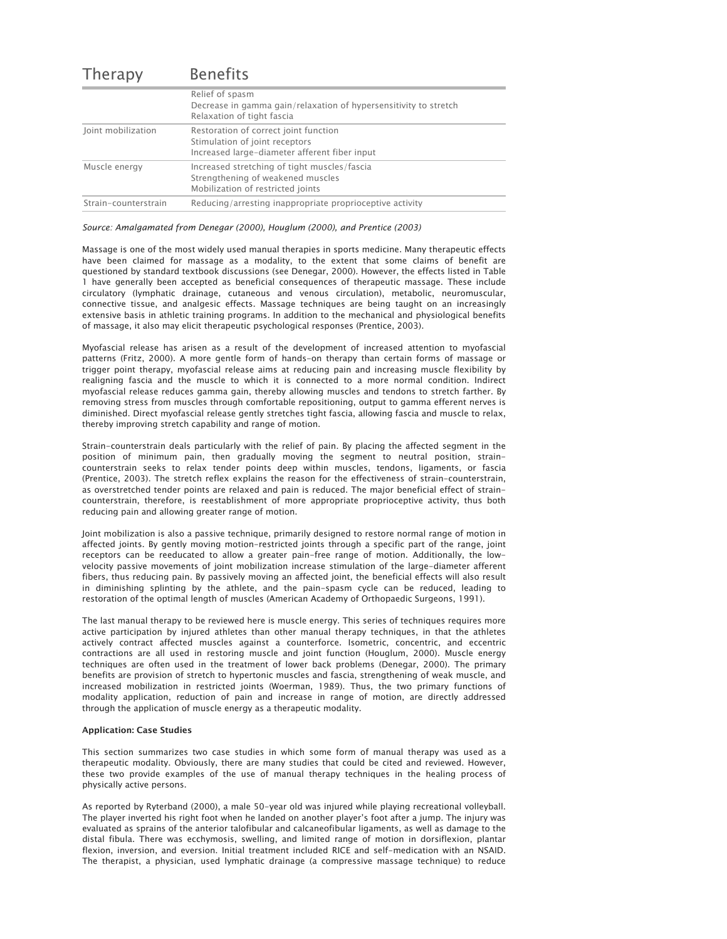| <b>Therapy</b>       | <b>Benefits</b>                                                                                                          |
|----------------------|--------------------------------------------------------------------------------------------------------------------------|
|                      | Relief of spasm<br>Decrease in gamma gain/relaxation of hypersensitivity to stretch<br>Relaxation of tight fascia        |
| Joint mobilization   | Restoration of correct joint function<br>Stimulation of joint receptors<br>Increased large-diameter afferent fiber input |
| Muscle energy        | Increased stretching of tight muscles/fascia<br>Strengthening of weakened muscles<br>Mobilization of restricted joints   |
| Strain-counterstrain | Reducing/arresting inappropriate proprioceptive activity                                                                 |

#### *Source: Amalgamated from Denegar (2000), Houglum (2000), and Prentice (2003)*

Massage is one of the most widely used manual therapies in sports medicine. Many therapeutic effects have been claimed for massage as a modality, to the extent that some claims of benefit are questioned by standard textbook discussions (see Denegar, 2000). However, the effects listed in Table 1 have generally been accepted as beneficial consequences of therapeutic massage. These include circulatory (lymphatic drainage, cutaneous and venous circulation), metabolic, neuromuscular, connective tissue, and analgesic effects. Massage techniques are being taught on an increasingly extensive basis in athletic training programs. In addition to the mechanical and physiological benefits of massage, it also may elicit therapeutic psychological responses (Prentice, 2003).

Myofascial release has arisen as a result of the development of increased attention to myofascial patterns (Fritz, 2000). A more gentle form of hands-on therapy than certain forms of massage or trigger point therapy, myofascial release aims at reducing pain and increasing muscle flexibility by realigning fascia and the muscle to which it is connected to a more normal condition. Indirect myofascial release reduces gamma gain, thereby allowing muscles and tendons to stretch farther. By removing stress from muscles through comfortable repositioning, output to gamma efferent nerves is diminished. Direct myofascial release gently stretches tight fascia, allowing fascia and muscle to relax, thereby improving stretch capability and range of motion.

Strain-counterstrain deals particularly with the relief of pain. By placing the affected segment in the position of minimum pain, then gradually moving the segment to neutral position, straincounterstrain seeks to relax tender points deep within muscles, tendons, ligaments, or fascia (Prentice, 2003). The stretch reflex explains the reason for the effectiveness of strain-counterstrain, as overstretched tender points are relaxed and pain is reduced. The major beneficial effect of straincounterstrain, therefore, is reestablishment of more appropriate proprioceptive activity, thus both reducing pain and allowing greater range of motion.

Joint mobilization is also a passive technique, primarily designed to restore normal range of motion in affected joints. By gently moving motion-restricted joints through a specific part of the range, joint receptors can be reeducated to allow a greater pain-free range of motion. Additionally, the lowvelocity passive movements of joint mobilization increase stimulation of the large-diameter afferent fibers, thus reducing pain. By passively moving an affected joint, the beneficial effects will also result in diminishing splinting by the athlete, and the pain-spasm cycle can be reduced, leading to restoration of the optimal length of muscles (American Academy of Orthopaedic Surgeons, 1991).

The last manual therapy to be reviewed here is muscle energy. This series of techniques requires more active participation by injured athletes than other manual therapy techniques, in that the athletes actively contract affected muscles against a counterforce. Isometric, concentric, and eccentric contractions are all used in restoring muscle and joint function (Houglum, 2000). Muscle energy techniques are often used in the treatment of lower back problems (Denegar, 2000). The primary benefits are provision of stretch to hypertonic muscles and fascia, strengthening of weak muscle, and increased mobilization in restricted joints (Woerman, 1989). Thus, the two primary functions of modality application, reduction of pain and increase in range of motion, are directly addressed through the application of muscle energy as a therapeutic modality.

#### Application: Case Studies

This section summarizes two case studies in which some form of manual therapy was used as a therapeutic modality. Obviously, there are many studies that could be cited and reviewed. However, these two provide examples of the use of manual therapy techniques in the healing process of physically active persons.

As reported by Ryterband (2000), a male 50-year old was injured while playing recreational volleyball. The player inverted his right foot when he landed on another player's foot after a jump. The injury was evaluated as sprains of the anterior talofibular and calcaneofibular ligaments, as well as damage to the distal fibula. There was ecchymosis, swelling, and limited range of motion in dorsiflexion, plantar flexion, inversion, and eversion. Initial treatment included RICE and self-medication with an NSAID. The therapist, a physician, used lymphatic drainage (a compressive massage technique) to reduce